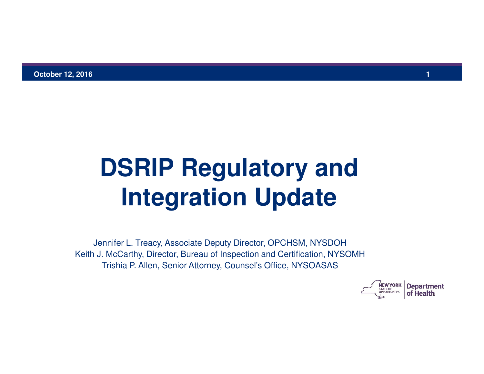# **DSRIP Regulatory and Integration Update**

Jennifer L. Treacy, Associate Deputy Director, OPCHSM, NYSDOH Keith J. McCarthy, Director, Bureau of Inspection and Certification, NYSOMH Trishia P. Allen, Senior Attorney, Counsel's Office, NYSOASAS

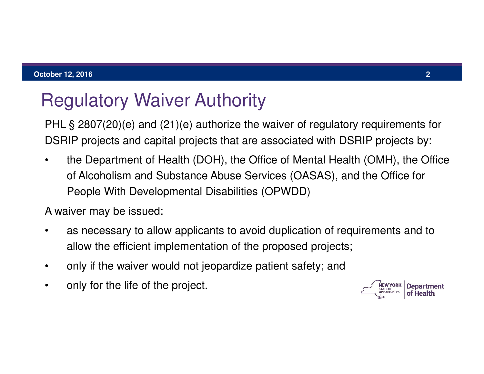# Regulatory Waiver Authority

PHL § 2807(20)(e) and (21)(e) authorize the waiver of regulatory requirements for DSRIP projects and capital projects that are associated with DSRIP projects by:

the Department of Health (DOH), the Office of Mental Health (OMH), the Office of Alcoholism and Substance Abuse Services (OASAS), and the Office for People With Developmental Disabilities (OPWDD)

A waiver may be issued:

- as necessary to allow applicants to avoid duplication of requirements and to allow the efficient implementation of the proposed projects;
- only if the waiver would not jeopardize patient safety; and
- only for the life of the project.

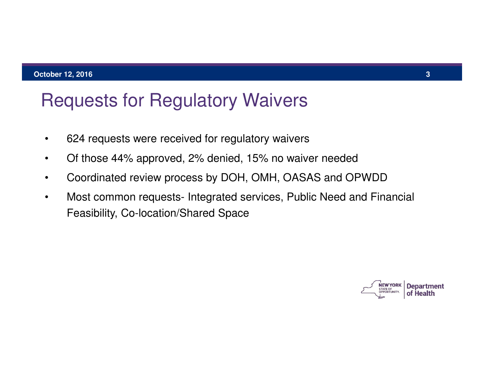### Requests for Regulatory Waivers

- • 624 requests were received for regulatory waivers
- • Of those 44% approved, 2% denied, 15% no waiver needed
- • Coordinated review process by DOH, OMH, OASAS and OPWDD
- Most common requests- Integrated services, Public Need and Financial Feasibility, Co-location/Shared Space

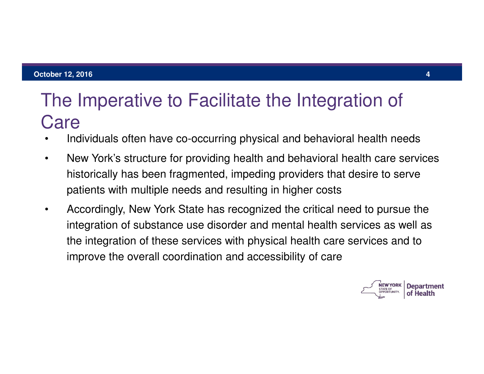### The Imperative to Facilitate the Integration of Care

- Individuals often have co-occurring physical and behavioral health needs
- New York's structure for providing health and behavioral health care services historically has been fragmented, impeding providers that desire to serve patients with multiple needs and resulting in higher costs
- Accordingly, New York State has recognized the critical need to pursue the integration of substance use disorder and mental health services as well as the integration of these services with physical health care services and to improve the overall coordination and accessibility of care

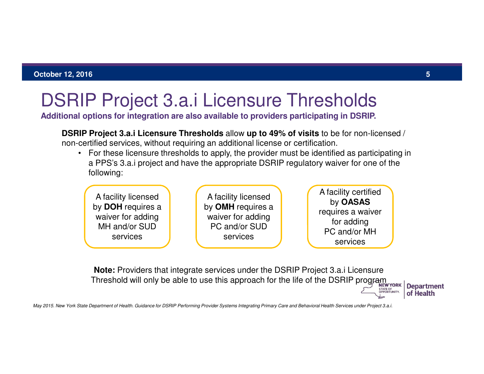### DSRIP Project 3.a.i Licensure Thresholds

**Additional options for integration are also available to providers participating in DSRIP.** 

**DSRIP Project 3.a.i Licensure Thresholds** allow **up to 49% of visits** to be for non-licensed / non-certified services, without requiring an additional license or certification.

• For these licensure thresholds to apply, the provider must be identified as participating in a PPS's 3.a.i project and have the appropriate DSRIP regulatory waiver for one of the following:



**Note:** Providers that integrate services under the DSRIP Project 3.a.i Licensure Threshold will only be able to use this approach for the life of the DSRIP program.

**Department** of Health

May 2015. New York State Department of Health. Guidance for DSRIP Performing Provider Systems Integrating Primary Care and Behavioral Health Services under Project 3.a.i.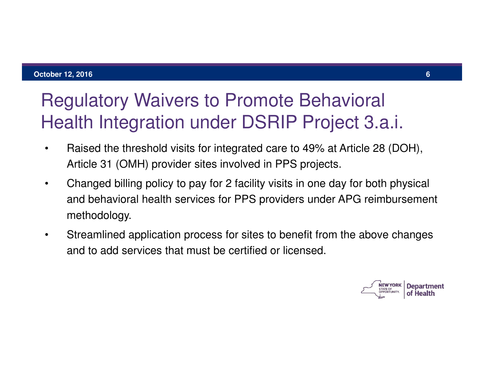# Regulatory Waivers to Promote Behavioral Health Integration under DSRIP Project 3.a.i.

- Raised the threshold visits for integrated care to 49% at Article 28 (DOH), Article 31 (OMH) provider sites involved in PPS projects.
- Changed billing policy to pay for 2 facility visits in one day for both physical and behavioral health services for PPS providers under APG reimbursement methodology.
- Streamlined application process for sites to benefit from the above changes and to add services that must be certified or licensed.

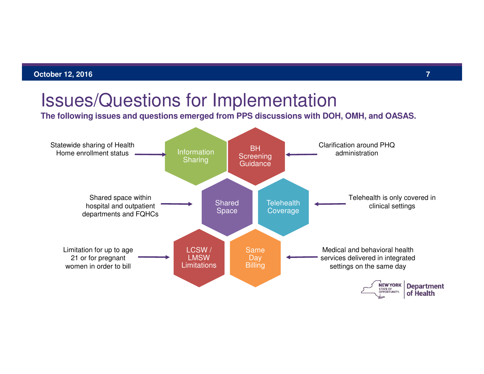### Issues/Questions for Implementation

**The following issues and questions emerged from PPS discussions with DOH, OMH, and OASAS.** 

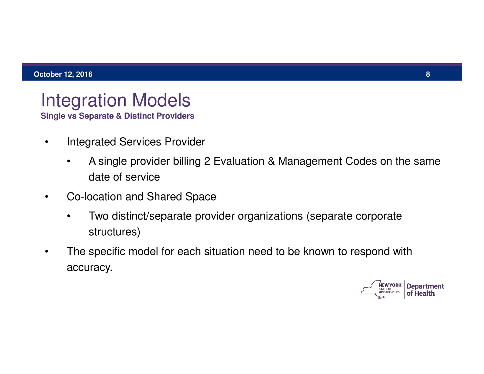# Integration Models

**Single vs Separate & Distinct Providers** 

- **Integrated Services Provider** 
	- • A single provider billing 2 Evaluation & Management Codes on the same date of service
- Co-location and Shared Space
	- • Two distinct/separate provider organizations (separate corporate structures)
- The specific model for each situation need to be known to respond with accuracy.

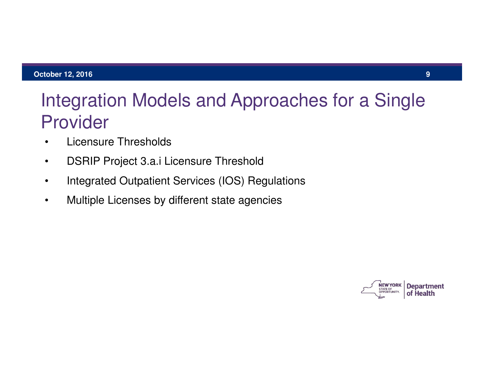### Integration Models and Approaches for a Single Provider

- Licensure Thresholds
- DSRIP Project 3.a.i Licensure Threshold
- Integrated Outpatient Services (IOS) Regulations
- Multiple Licenses by different state agencies

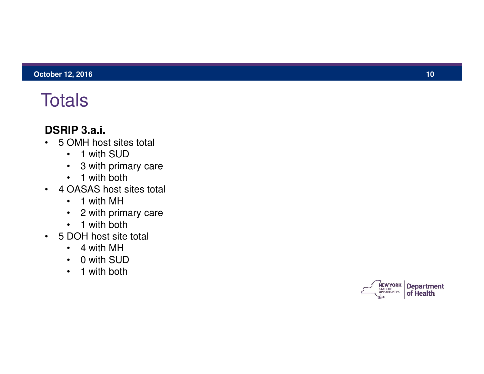### **Totals**

#### **DSRIP 3.a.i.**

- 5 OMH host sites total
	- 1 with SUD
	- 3 with primary care
	- 1 with both
- 4 OASAS host sites total
	- 1 with MH
	- 2 with primary care
	- 1 with both
- 5 DOH host site total
	- 4 with MH
	- 0 with SUD
	- 1 with both

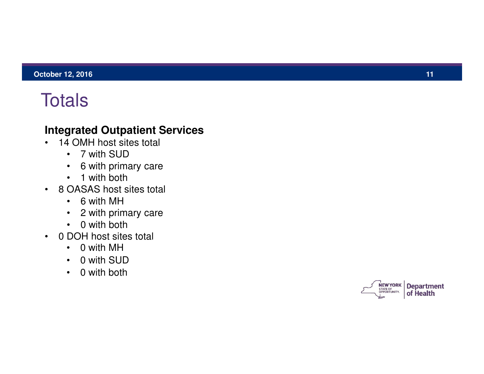### **Totals**

#### **Integrated Outpatient Services**

- 14 OMH host sites total
	- 7 with SUD
	- 6 with primary care
	- 1 with both
- 8 OASAS host sites total
	- 6 with MH
	- 2 with primary care
	- 0 with both
- 0 DOH host sites total
	- 0 with MH
	- 0 with SUD
	- 0 with both

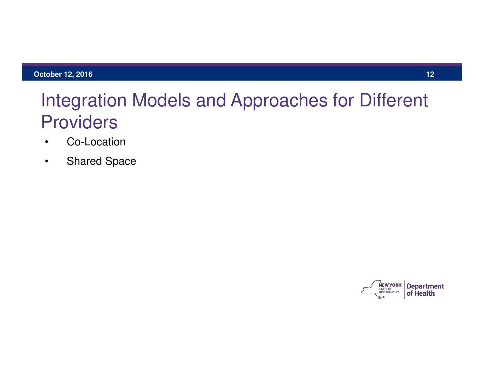### Integration Models and Approaches for Different **Providers**

- Co-Location
- Shared Space

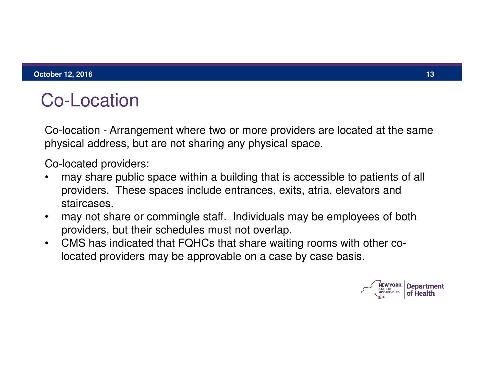# Co-Location

Co-location - Arrangement where two or more providers are located at the same physical address, but are not sharing any physical space.

Co-located providers:

- may share public space within a building that is accessible to patients of all providers. These spaces include entrances, exits, atria, elevators and staircases.
- may not share or commingle staff. Individuals may be employees of both providers, but their schedules must not overlap.
- • CMS has indicated that FQHCs that share waiting rooms with other co located providers may be approvable on a case by case basis.

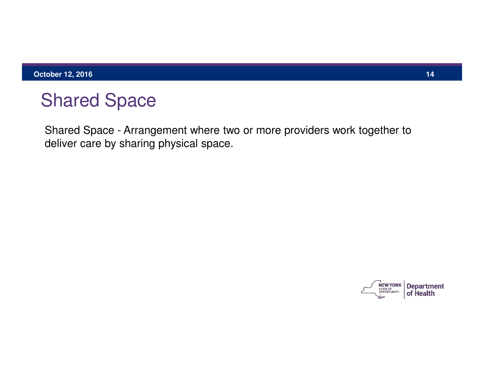### Shared Space

Shared Space - Arrangement where two or more providers work together to deliver care by sharing physical space.

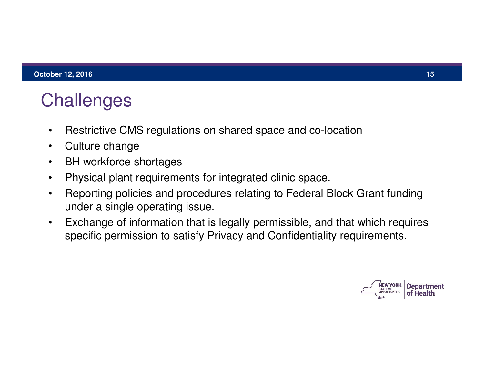## **Challenges**

- Restrictive CMS regulations on shared space and co-location
- Culture change
- BH workforce shortages
- • Physical plant requirements for integrated clinic space.
- Reporting policies and procedures relating to Federal Block Grant funding under a single operating issue.
- Exchange of information that is legally permissible, and that which requires specific permission to satisfy Privacy and Confidentiality requirements.

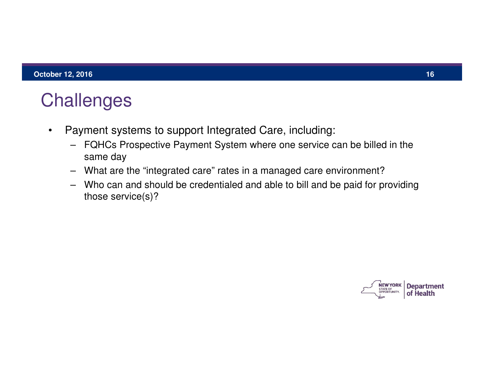### **Challenges**

- • Payment systems to support Integrated Care, including:
	- – FQHCs Prospective Payment System where one service can be billed in the same day
	- – What are the "integrated care" rates in a managed care environment?
	- – Who can and should be credentialed and able to bill and be paid for providing those service(s)?